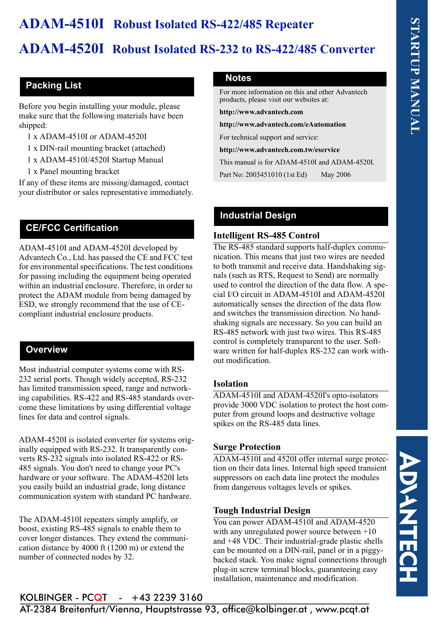# **ADAM-4510I Robust Isolated RS-422/485 Repeater**

# **ADAM-4520I Robust Isolated RS-232 to RS-422/485 Converter**

# **Packing List**

Before you begin installing your module, please make sure that the following materials have been shipped:

- 1 x ADAM-4510I or ADAM-4520I
- 1 x DIN-rail mounting bracket (attached)
- 1 x ADAM-4510I/4520I Startup Manual
- 1 x Panel mounting bracket

If any of these items are missing/damaged, contact your distributor or sales representative immediately.

# **CE/FCC Certification**

ADAM-4510I and ADAM-4520I developed by Advantech Co., Ltd. has passed the CE and FCC test for environmental specifications. The test conditions for passing including the equipment being operated within an industrial enclosure. Therefore, in order to protect the ADAM module from being damaged by ESD, we strongly recommend that the use of CEcompliant industrial enclosure products.

# **Overview**

Most industrial computer systems come with RS-232 serial ports. Though widely accepted, RS-232 has limited transmission speed, range and networking capabilities. RS-422 and RS-485 standards overcome these limitations by using differential voltage lines for data and control signals.

ADAM-4520I is isolated converter for systems originally equipped with RS-232. It transparently converts RS-232 signals into isolated RS-422 or RS-485 signals. You don't need to change your PC's hardware or your software. The ADAM-4520I lets you easily build an industrial grade, long distance communication system with standard PC hardware.

The ADAM-4510I repeaters simply amplify, or boost, existing RS-485 signals to enable them to cover longer distances. They extend the communication distance by 4000 ft (1200 m) or extend the number of connected nodes by 32.

### **Notes**

For more information on this and other Advantech products, please visit our websites at:

**http://www.advantech.com**

**http://www.advantech.com/eAutomation**

For technical support and service:

**http://www.advantech.com.tw/eservice**

This manual is for ADAM-4510I and ADAM-4520I.

Part No: 2003451010 (1st Ed) May 2006

# **Industrial Design**

### **Intelligent RS-485 Control**

The RS-485 standard supports half-duplex communication. This means that just two wires are needed to both transmit and receive data. Handshaking signals (such as RTS, Request to Send) are normally used to control the direction of the data flow. A special I/O circuit in ADAM-4510I and ADAM-4520I automatically senses the direction of the data flow and switches the transmission direction. No handshaking signals are necessary. So you can build an RS-485 network with just two wires. This RS-485 control is completely transparent to the user. Software written for half-duplex RS-232 can work without modification.

# **Isolation**

ADAM-4510I and ADAM-4520I's opto-isolators provide 3000 VDC isolation to protect the host computer from ground loops and destructive voltage spikes on the RS-485 data lines.

# **Surge Protection**

ADAM-4510I and 4520I offer internal surge protection on their data lines. Internal high speed transient suppressors on each data line protect the modules from dangerous voltages levels or spikes.

# **Tough Industrial Design**

You can power ADAM-4510I and ADAM-4520 with any unregulated power source between +10 and +48 VDC. Their industrial-grade plastic shells can be mounted on a DIN-rail, panel or in a piggybacked stack. You make signal connections through plug-in screw terminal blocks, guaranteeing easy installation, maintenance and modification.

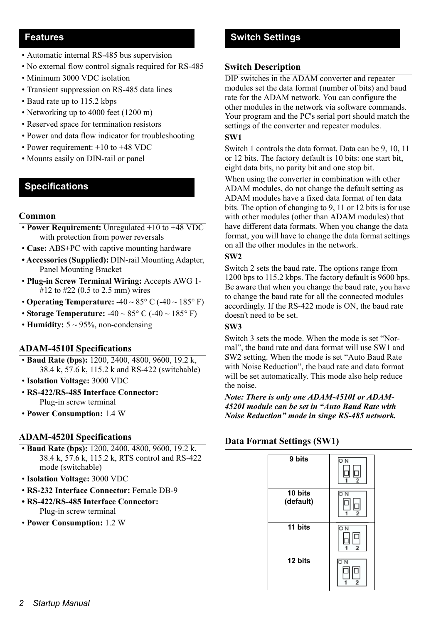### **Features**

- Automatic internal RS-485 bus supervision
- No external flow control signals required for RS-485
- Minimum 3000 VDC isolation
- Transient suppression on RS-485 data lines
- Baud rate up to 115.2 kbps
- Networking up to 4000 feet (1200 m)
- Reserved space for termination resistors
- Power and data flow indicator for troubleshooting
- Power requirement: +10 to +48 VDC
- Mounts easily on DIN-rail or panel

### **Specifications**

#### **Common**

- **Power Requirement:** Unregulated +10 to +48 VDC with protection from power reversals
- **Case:** ABS+PC with captive mounting hardware
- **Accessories (Supplied):** DIN-rail Mounting Adapter, Panel Mounting Bracket
- **Plug-in Screw Terminal Wiring:** Accepts AWG 1- #12 to #22 (0.5 to 2.5 mm) wires
- **Operating Temperature:** -40 ~ 85° C (-40 ~ 185° F)
- **Storage Temperature:** -40 ~ 85° C (-40 ~ 185° F)
- **Humidity:**  $5 \sim 95\%$ , non-condensing

#### **ADAM-4510I Specifications**

- **Baud Rate (bps):** 1200, 2400, 4800, 9600, 19.2 k, 38.4 k, 57.6 k, 115.2 k and RS-422 (switchable)
- **Isolation Voltage:** 3000 VDC
- **RS-422/RS-485 Interface Connector:**  Plug-in screw terminal
- **Power Consumption:** 1.4 W

#### **ADAM-4520I Specifications**

- **Baud Rate (bps):** 1200, 2400, 4800, 9600, 19.2 k, 38.4 k, 57.6 k, 115.2 k, RTS control and RS-422 mode (switchable)
- **Isolation Voltage:** 3000 VDC
- **RS-232 Interface Connector:** Female DB-9
- **RS-422/RS-485 Interface Connector:**  Plug-in screw terminal
- **Power Consumption:** 1.2 W

# **Switch Settings**

#### **Switch Description**

DIP switches in the ADAM converter and repeater modules set the data format (number of bits) and baud rate for the ADAM network. You can configure the other modules in the network via software commands. Your program and the PC's serial port should match the settings of the converter and repeater modules.

#### **SW1**

Switch 1 controls the data format. Data can be 9, 10, 11 or 12 bits. The factory default is 10 bits: one start bit, eight data bits, no parity bit and one stop bit.

When using the converter in combination with other ADAM modules, do not change the default setting as ADAM modules have a fixed data format of ten data bits. The option of changing to 9, 11 or 12 bits is for use with other modules (other than ADAM modules) that have different data formats. When you change the data format, you will have to change the data format settings on all the other modules in the network.

#### **SW2**

Switch 2 sets the baud rate. The options range from 1200 bps to 115.2 kbps. The factory default is 9600 bps. Be aware that when you change the baud rate, you have to change the baud rate for all the connected modules accordingly. If the RS-422 mode is ON, the baud rate doesn't need to be set.

#### **SW3**

Switch 3 sets the mode. When the mode is set "Normal", the baud rate and data format will use SW1 and SW2 setting. When the mode is set "Auto Baud Rate with Noise Reduction", the baud rate and data format will be set automatically. This mode also help reduce the noise.

*Note: There is only one ADAM-4510I or ADAM-4520I module can be set in "Auto Baud Rate with Noise Reduction" mode in singe RS-485 network.*

### **Data Format Settings (SW1)**

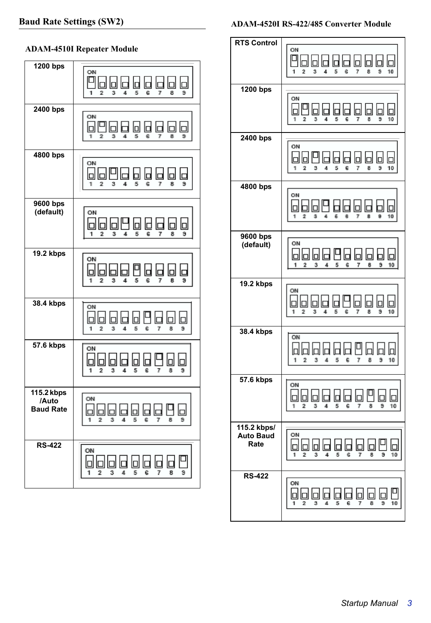### **ADAM-4510I Repeater Module**

| 1200 bps                                | ON<br>Ы<br>П<br>5<br>8<br>э<br>1<br>2<br>3<br>4<br>Ŝ<br>7                                |
|-----------------------------------------|------------------------------------------------------------------------------------------|
| $\overline{2}400$ bps                   | ON<br>IоI<br>Iпl<br>٦<br>IП<br>5<br>Ġ<br>1<br>3<br>7<br>8<br>9<br>2                      |
| 4800 bps                                | ON<br>Iо<br>3<br>1<br>$\overline{2}$<br>4<br>5<br>Ġ<br>7<br>8<br>э                       |
| 9600 bps<br>(default)                   | ON<br>п<br>IПI<br>П<br>G<br>1<br>2<br>3<br>4<br>5<br>7<br>8<br>9                         |
| <b>19.2 kbps</b>                        | ON<br>Iо<br>IП<br>lО<br>ℾ<br>2<br>5<br>6<br>1<br>3<br>7<br>8<br>Э<br>4                   |
| $38.4$ kbps                             | ON<br>Iо<br>IО<br>问<br>3<br>5<br>Ġ<br>8<br>1<br>$\overline{2}$<br>4<br>7<br>э            |
| $\overline{57.6}$ kbps                  | ON<br>⊡<br>1<br>$\overline{2}$<br>3<br>5<br>7<br>4<br>e<br>8<br>э                        |
| 115.2 kbps<br>/Auto<br><b>Baud Rate</b> | ON<br>Iс<br>'n<br>Iа<br>□<br>问<br>1<br>$\overline{2}$<br>3<br>4<br>5<br>Ġ<br>8<br>7<br>э |
| <b>RS-422</b>                           | ON<br>⊩<br>5<br>9<br>1<br>2<br>3<br>4<br>g<br>8<br>7                                     |

### **ADAM-4520I RS-422/485 Converter Module**

ř.

| <b>RTS Control</b>                      | ON<br>⊡<br>1<br>$\overline{2}$<br>3<br>5<br>6<br>7<br>8<br>9<br>10<br>4                                 |
|-----------------------------------------|---------------------------------------------------------------------------------------------------------|
| 1200 bps                                | ON<br>IО<br>$\overline{2}$<br>3<br>8<br>9<br>10<br>1<br>4<br>5<br>6<br>7                                |
| 2400 bps                                | ON<br>Iп<br>IГ<br>3<br>8<br>10<br>1<br>2<br>4<br>5<br>Ġ<br>9<br>7                                       |
| $\frac{1}{4800}$ bps                    | ON<br>Iоl<br>₪<br>1<br>2<br>6<br>6<br>8<br>9<br>10<br>3<br>7<br>4                                       |
| 9600 bps<br>(default)                   | ON<br>Iоl<br>lо<br>b<br>Iоl<br>IО<br>IО<br>5<br>6<br>7<br>1<br>$\overline{2}$<br>3<br>4<br>8<br>9<br>10 |
| $19.2$ kbps                             | ON<br>IОI<br>1<br>2<br>5<br>G<br>8<br>10<br>3<br>4<br>7<br>э                                            |
| 38.4 kbps                               | ON<br>IпI<br>Ic<br>IоI<br>⊡<br>3<br>5<br>G<br>10<br>1<br>2<br>4<br>7<br>8<br>9                          |
| 57.6 kbps                               | ON<br>lo<br>Iо<br>IC<br>1<br>$\overline{2}$<br>5<br>Ŝ<br>7<br>8<br>9<br>10<br>3<br>4                    |
| 115.2 kbps/<br><b>Auto Baud</b><br>Rate | ON<br>IпI<br>问<br>ו<br>ו<br>1<br>$\overline{2}$<br>3<br>5<br>8<br>9<br>10<br>4<br>6<br>7                |
| <b>RS-422</b>                           | ON<br>P<br><u>da</u><br>回回<br><b>ld 1d</b><br><b>o</b><br>b<br>Iо<br>10<br>1<br>5<br>2<br>8<br>э        |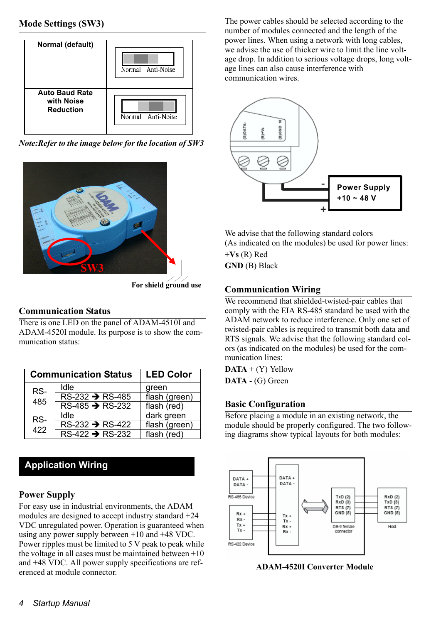

*Note:Refer to the image below for the location of SW3* 



#### **For shield ground use**

# **Communication Status**

There is one LED on the panel of ADAM-4510I and ADAM-4520I module. Its purpose is to show the communication status:

| <b>Communication Status</b> |                                                 | <b>LED Color</b> |
|-----------------------------|-------------------------------------------------|------------------|
| RS-<br>485                  | Idle                                            | green            |
|                             | $\overline{\text{RS-}232}$ $\rightarrow$ RS-485 | flash (green)    |
|                             | $RS-485 \rightarrow RS-232$                     | flash (red)      |
| RS-<br>422                  | Idle                                            | dark green       |
|                             | $RS-232 \rightarrow RS-422$                     | flash (green)    |
|                             | $RS-422 \rightarrow RS-232$                     | flash (red)      |

# **Application Wiring**

# **Power Supply**

For easy use in industrial environments, the ADAM modules are designed to accept industry standard +24 VDC unregulated power. Operation is guaranteed when using any power supply between +10 and +48 VDC. Power ripples must be limited to 5 V peak to peak while the voltage in all cases must be maintained between +10 and +48 VDC. All power supply specifications are referenced at module connector.

The power cables should be selected according to the number of modules connected and the length of the power lines. When using a network with long cables, we advise the use of thicker wire to limit the line voltage drop. In addition to serious voltage drops, long voltage lines can also cause interference with communication wires.



We advise that the following standard colors (As indicated on the modules) be used for power lines: **+Vs** (R) Red **GND** (B) Black

# **Communication Wiring**

We recommend that shielded-twisted-pair cables that comply with the EIA RS-485 standard be used with the ADAM network to reduce interference. Only one set of twisted-pair cables is required to transmit both data and RTS signals. We advise that the following standard colors (as indicated on the modules) be used for the communication lines:

**DATA** + (Y) Yellow **DATA** - (G) Green

# **Basic Configuration**

Before placing a module in an existing network, the module should be properly configured. The two following diagrams show typical layouts for both modules:



 **ADAM-4520I Converter Module**